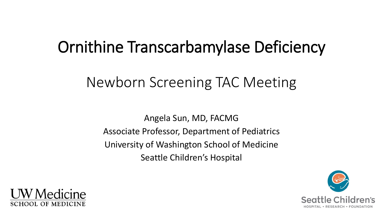## Ornithine Transcarbamylase Deficiency

#### Newborn Screening TAC Meeting

Angela Sun, MD, FACMG Associate Professor, Department of Pediatrics University of Washington School of Medicine Seattle Children's Hospital



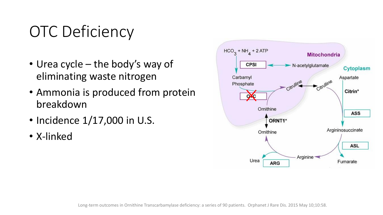# OTC Deficiency

- Urea cycle the body's way of eliminating waste nitrogen
- Ammonia is produced from protein breakdown
- Incidence 1/17,000 in U.S.
- X-linked

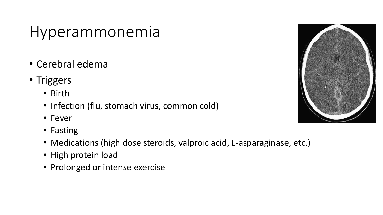#### Hyperammonemia

- Cerebral edema
- Triggers
	- Birth
	- Infection (flu, stomach virus, common cold)
	- Fever
	- Fasting
	- Medications (high dose steroids, valproic acid, L-asparaginase, etc.)
	- High protein load
	- Prolonged or intense exercise

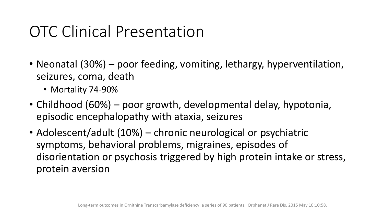### OTC Clinical Presentation

- Neonatal (30%) poor feeding, vomiting, lethargy, hyperventilation, seizures, coma, death
	- Mortality 74-90%
- Childhood (60%) poor growth, developmental delay, hypotonia, episodic encephalopathy with ataxia, seizures
- Adolescent/adult (10%) chronic neurological or psychiatric symptoms, behavioral problems, migraines, episodes of disorientation or psychosis triggered by high protein intake or stress, protein aversion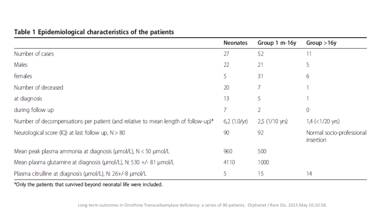| Table 1 Epidemiological characteristics of the patients |  |
|---------------------------------------------------------|--|
|---------------------------------------------------------|--|

|                                                                                   | <b>Neonates</b>       | Group 1 m-16y  | Group > 16y                            |
|-----------------------------------------------------------------------------------|-----------------------|----------------|----------------------------------------|
| Number of cases                                                                   | 27                    | 52             | 11                                     |
| Males                                                                             | 22                    | 21             | 5                                      |
| females                                                                           | 5                     | 31             | 6                                      |
| Number of deceased                                                                | 20                    |                |                                        |
| at diagnosis                                                                      | 13                    | 5              |                                        |
| during follow up                                                                  | 7                     | 2              | 0                                      |
| Number of decompensations per patient (and relative to mean length of follow-up)* | 6,2 $(1.0/\text{yr})$ | 2,5 (1/10 yrs) | $1,4$ (< $1/20$ yrs)                   |
| Neurological score (IQ) at last follow up, $N > 80$                               | 90                    | 92             | Normal socio-professional<br>insertion |
| Mean peak plasma ammonia at diagnosis (umol/L), N < 50 umol/L                     | 960                   | 500            |                                        |
| Mean plasma glutamine at diagnosis (umol/L), N: 530 +/- 81 umol/L                 | 4110                  | 1000           |                                        |
| Plasma citrulline at diagnosis (umol/L), N: 26+/-8 umol/L                         | 5                     | 15             | 14                                     |

\*Only the patients that survived beyond neonatal life were included.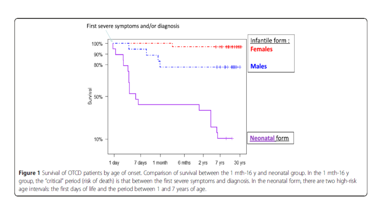

Figure 1 Survival of OTCD patients by age of onset. Comparison of survival between the 1 mth-16 y and neonatal group. In the 1 mth-16 y group, the "critical" period (risk of death) is that between the first severe symptoms and diagnosis. In the neonatal form, there are two high-risk age intervals: the first days of life and the period between 1 and 7 years of age.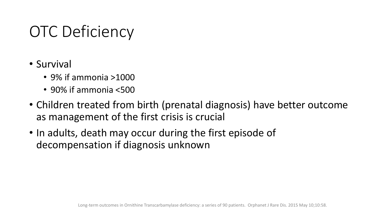## OTC Deficiency

- Survival
	- 9% if ammonia >1000
	- 90% if ammonia <500
- Children treated from birth (prenatal diagnosis) have better outcome as management of the first crisis is crucial
- In adults, death may occur during the first episode of decompensation if diagnosis unknown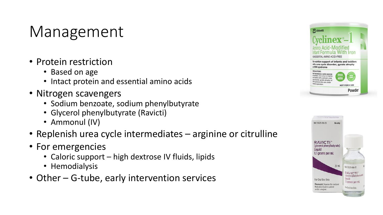### Management

- Protein restriction
	- Based on age
	- Intact protein and essential amino acids
- Nitrogen scavengers
	- Sodium benzoate, sodium phenylbutyrate
	- Glycerol phenylbutyrate (Ravicti)
	- Ammonul (IV)
- Replenish urea cycle intermediates arginine or citrulline
- For emergencies
	- Caloric support high dextrose IV fluids, lipids
	- Hemodialysis
- Other G-tube, early intervention services